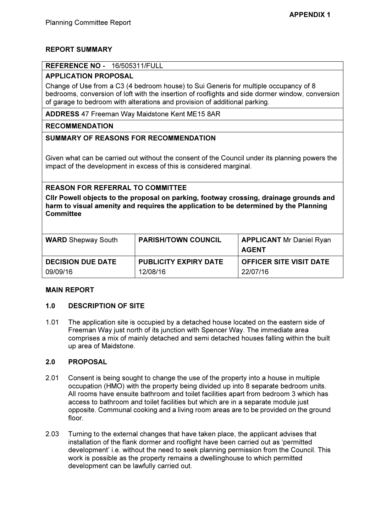# REPORT SUMMARY

### REFERENCE NO - 16/505311/FULL

## APPLICATION PROPOSAL

Change of Use from a C3 (4 bedroom house) to Sui Generis for multiple occupancy of 8 bedrooms, conversion of loft with the insertion of rooflights and side dormer window, conversion of garage to bedroom with alterations and provision of additional parking.

ADDRESS 47 Freeman Way Maidstone Kent ME15 8AR

### RECOMMENDATION

## SUMMARY OF REASONS FOR RECOMMENDATION

Given what can be carried out without the consent of the Council under its planning powers the impact of the development in excess of this is considered marginal.

# REASON FOR REFERRAL TO COMMITTEE

Cllr Powell objects to the proposal on parking, footway crossing, drainage grounds and harm to visual amenity and requires the application to be determined by the Planning **Committee** 

| <b>WARD</b> Shepway South | <b>PARISH/TOWN COUNCIL</b>   | <b>APPLICANT Mr Daniel Ryan</b><br>AGENT |
|---------------------------|------------------------------|------------------------------------------|
| <b>DECISION DUE DATE</b>  | <b>PUBLICITY EXPIRY DATE</b> | <b>OFFICER SITE VISIT DATE</b>           |
| 09/09/16                  | 12/08/16                     | 22/07/16                                 |

## MAIN REPORT

## 1.0 DESCRIPTION OF SITE

1.01 The application site is occupied by a detached house located on the eastern side of Freeman Way just north of its junction with Spencer Way. The immediate area comprises a mix of mainly detached and semi detached houses falling within the built up area of Maidstone.

#### 2.0 PROPOSAL

- 2.01 Consent is being sought to change the use of the property into a house in multiple occupation (HMO) with the property being divided up into 8 separate bedroom units. All rooms have ensuite bathroom and toilet facilities apart from bedroom 3 which has access to bathroom and toilet facilities but which are in a separate module just opposite. Communal cooking and a living room areas are to be provided on the ground floor.
- 2.03 Turning to the external changes that have taken place, the applicant advises that installation of the flank dormer and rooflight have been carried out as 'permitted development' i.e. without the need to seek planning permission from the Council. This work is possible as the property remains a dwellinghouse to which permitted development can be lawfully carried out.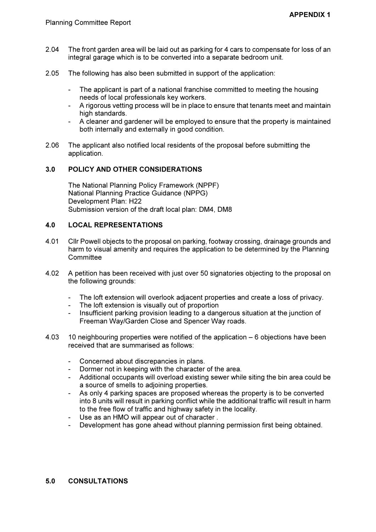- 2.04 The front garden area will be laid out as parking for 4 cars to compensate for loss of an integral garage which is to be converted into a separate bedroom unit.
- 2.05 The following has also been submitted in support of the application:
	- The applicant is part of a national franchise committed to meeting the housing needs of local professionals key workers.
	- A rigorous vetting process will be in place to ensure that tenants meet and maintain high standards.
	- A cleaner and gardener will be employed to ensure that the property is maintained both internally and externally in good condition.
- 2.06 The applicant also notified local residents of the proposal before submitting the application.

# 3.0 POLICY AND OTHER CONSIDERATIONS

The National Planning Policy Framework (NPPF) National Planning Practice Guidance (NPPG) Development Plan: H22 Submission version of the draft local plan: DM4, DM8

# 4.0 LOCAL REPRESENTATIONS

- 4.01 Cllr Powell objects to the proposal on parking, footway crossing, drainage grounds and harm to visual amenity and requires the application to be determined by the Planning **Committee**
- 4.02 A petition has been received with just over 50 signatories objecting to the proposal on the following grounds:
	- The loft extension will overlook adjacent properties and create a loss of privacy.
	- The loft extension is visually out of proportion
	- Insufficient parking provision leading to a dangerous situation at the junction of Freeman Way/Garden Close and Spencer Way roads.
- 4.03 10 neighbouring properties were notified of the application 6 objections have been received that are summarised as follows:
	- Concerned about discrepancies in plans.
	- Dormer not in keeping with the character of the area.
	- Additional occupants will overload existing sewer while siting the bin area could be a source of smells to adjoining properties.
	- As only 4 parking spaces are proposed whereas the property is to be converted into 8 units will result in parking conflict while the additional traffic will result in harm to the free flow of traffic and highway safety in the locality.
	- Use as an HMO will appear out of character .
	- Development has gone ahead without planning permission first being obtained.

# 5.0 CONSULTATIONS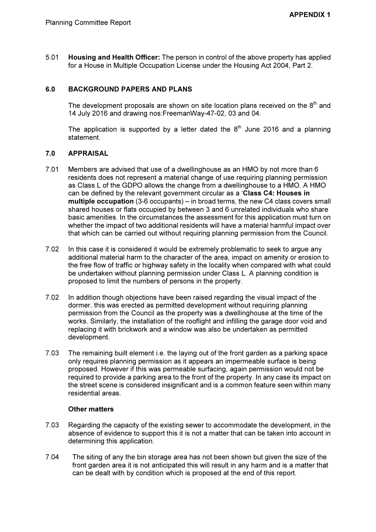5.01 Housing and Health Officer: The person in control of the above property has applied for a House in Multiple Occupation License under the Housing Act 2004, Part 2.

# 6.0 BACKGROUND PAPERS AND PLANS

The development proposals are shown on site location plans received on the  $8<sup>th</sup>$  and 14 July 2016 and drawing nos:FreemanWay-47-02, 03 and 04.

The application is supported by a letter dated the  $8<sup>th</sup>$  June 2016 and a planning statement.

### 7.0 APPRAISAL

- 7.01 Members are advised that use of a dwellinghouse as an HMO by not more than 6 residents does not represent a material change of use requiring planning permission as Class L of the GDPO allows the change from a dwellinghouse to a HMO. A HMO can be defined by the relevant government circular as a 'Class C4: Houses in multiple occupation (3-6 occupants) – in broad terms, the new C4 class covers small shared houses or flats occupied by between 3 and 6 unrelated individuals who share basic amenities. In the circumstances the assessment for this application must turn on whether the impact of two additional residents will have a material harmful impact over that which can be carried out without requiring planning permission from the Council.
- 7.02 In this case it is considered it would be extremely problematic to seek to argue any additional material harm to the character of the area, impact on amenity or erosion to the free flow of traffic or highway safety in the locality when compared with what could be undertaken without planning permission under Class L. A planning condition is proposed to limit the numbers of persons in the property.
- 7.02 In addition though objections have been raised regarding the visual impact of the dormer, this was erected as permitted development without requiring planning permission from the Council as the property was a dwellinghouse at the time of the works. Similarly, the installation of the rooflight and infilling the garage door void and replacing it with brickwork and a window was also be undertaken as permitted development.
- 7.03 The remaining built element i.e. the laying out of the front garden as a parking space only requires planning permission as it appears an impermeable surface is being proposed. However if this was permeable surfacing, again permission would not be required to provide a parking area to the front of the property. In any case its impact on the street scene is considered insignificant and is a common feature seen within many residential areas.

## Other matters

- 7.03 Regarding the capacity of the existing sewer to accommodate the development, in the absence of evidence to support this it is not a matter that can be taken into account in determining this application.
- 7.04 The siting of any the bin storage area has not been shown but given the size of the front garden area it is not anticipated this will result in any harm and is a matter that can be dealt with by condition which is proposed at the end of this report.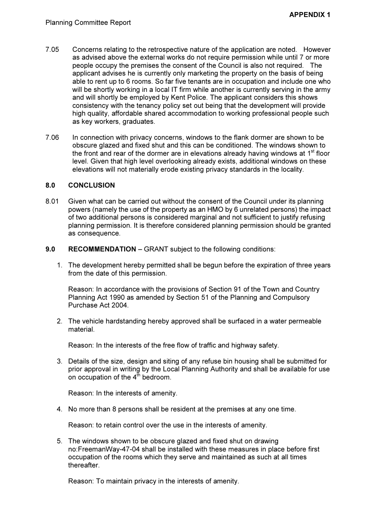- 7.05 Concerns relating to the retrospective nature of the application are noted. However as advised above the external works do not require permission while until 7 or more people occupy the premises the consent of the Council is also not required. The applicant advises he is currently only marketing the property on the basis of being able to rent up to 6 rooms. So far five tenants are in occupation and include one who will be shortly working in a local IT firm while another is currently serving in the army and will shortly be employed by Kent Police. The applicant considers this shows consistency with the tenancy policy set out being that the development will provide high quality, affordable shared accommodation to working professional people such as key workers, graduates.
- 7.06 In connection with privacy concerns, windows to the flank dormer are shown to be obscure glazed and fixed shut and this can be conditioned. The windows shown to the front and rear of the dormer are in elevations already having windows at  $1<sup>st</sup>$  floor level. Given that high level overlooking already exists, additional windows on these elevations will not materially erode existing privacy standards in the locality.

### 8.0 CONCLUSION

- 8.01 Given what can be carried out without the consent of the Council under its planning powers (namely the use of the property as an HMO by 6 unrelated persons) the impact of two additional persons is considered marginal and not sufficient to justify refusing planning permission. It is therefore considered planning permission should be granted as consequence.
- 9.0 RECOMMENDATION GRANT subject to the following conditions:
	- 1. The development hereby permitted shall be begun before the expiration of three years from the date of this permission.

Reason: In accordance with the provisions of Section 91 of the Town and Country Planning Act 1990 as amended by Section 51 of the Planning and Compulsory Purchase Act 2004.

2. The vehicle hardstanding hereby approved shall be surfaced in a water permeable material.

Reason: In the interests of the free flow of traffic and highway safety.

3. Details of the size, design and siting of any refuse bin housing shall be submitted for prior approval in writing by the Local Planning Authority and shall be available for use on occupation of the  $4^{\text{th}}$  bedroom.

Reason: In the interests of amenity.

4. No more than 8 persons shall be resident at the premises at any one time.

Reason: to retain control over the use in the interests of amenity.

5. The windows shown to be obscure glazed and fixed shut on drawing no:FreemanWay-47-04 shall be installed with these measures in place before first occupation of the rooms which they serve and maintained as such at all times **thereafter** 

Reason: To maintain privacy in the interests of amenity.